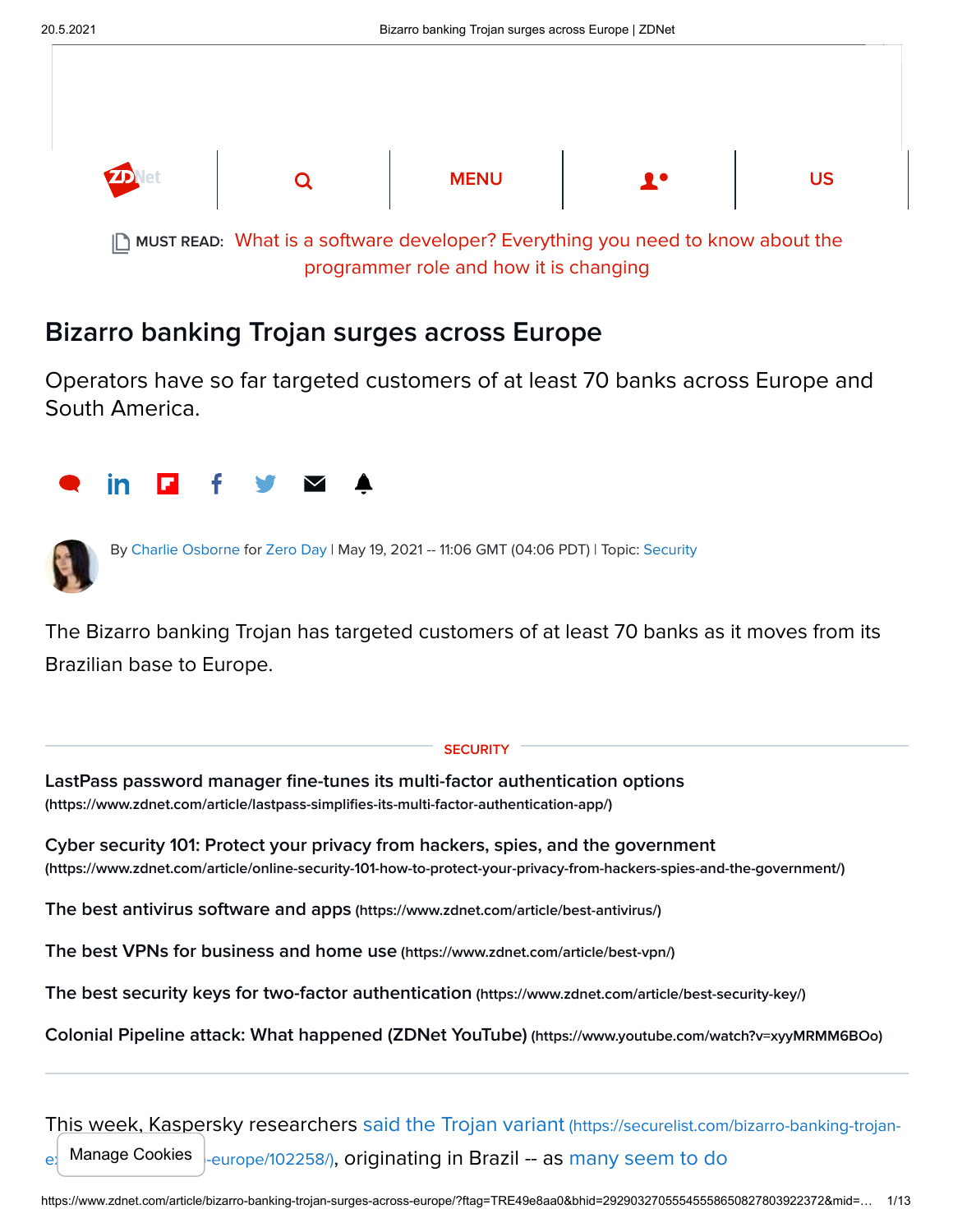

[What is a software developer? Everything you need to know about the](https://www.zdnet.com/article/what-is-a-software-developer-everything-you-need-to-know-about-the-programmer-role-and-how-it-is-changing/) MUST READ: programmer role and how it is changing

## Bizarro banking Trojan surges across Europe

Operators have so far targeted customers of at least 70 banks across Europe and South America.





By [Charlie Osborne](https://www.zdnet.com/meet-the-team/us/charlie-osborne/) for [Zero Day](https://www.zdnet.com/blog/security/) | May 19, 2021 -- 11:06 GMT (04:06 PDT) | Topic: [Security](https://www.zdnet.com/topic/security/)

The Bizarro banking Trojan has targeted customers of at least 70 banks as it moves from its Brazilian base to Europe.

## **SECURITY**

[LastPass password manager fine-tunes its multi-factor authentication options](https://www.zdnet.com/article/lastpass-simplifies-its-multi-factor-authentication-app/) (https://www.zdnet.com/article/lastpass-simplifies-its-multi-factor-authentication-app/)

[Cyber security 101: Protect your privacy from hackers, spies, and the government](https://www.zdnet.com/article/online-security-101-how-to-protect-your-privacy-from-hackers-spies-and-the-government/) (https://www.zdnet.com/article/online-security-101-how-to-protect-your-privacy-from-hackers-spies-and-the-government/)

[The best antivirus software and apps](https://www.zdnet.com/article/best-antivirus/) (https://www.zdnet.com/article/best-antivirus/)

[The best VPNs for business and home use](https://www.zdnet.com/article/best-vpn/) (https://www.zdnet.com/article/best-vpn/)

[The best security keys for two-factor authentication](https://www.zdnet.com/article/best-security-key/) (https://www.zdnet.com/article/best-security-key/)

[Colonial Pipeline attack: What happened \(ZDNet YouTube\)](https://www.youtube.com/watch?v=xyyMRMM6BOo) (https://www.youtube.com/watch?v=xyyMRMM6BOo)

[This week, Kaspersky researchers said the Trojan variant](https://securelist.com/bizarro-banking-trojan-expands-its-attacks-to-europe/102258/) (https://securelist.com/bizarro-banking-trojan- $_{\rm el}$  Manage Cookies  $|_{\rm-europe/102258/}$ [, originating in Brazil -- as many seem to do](https://www.zdnet.com/article/banking-trojan-evolves-from-distribution-through-porn-to-sophisticated-phishing-schemes/)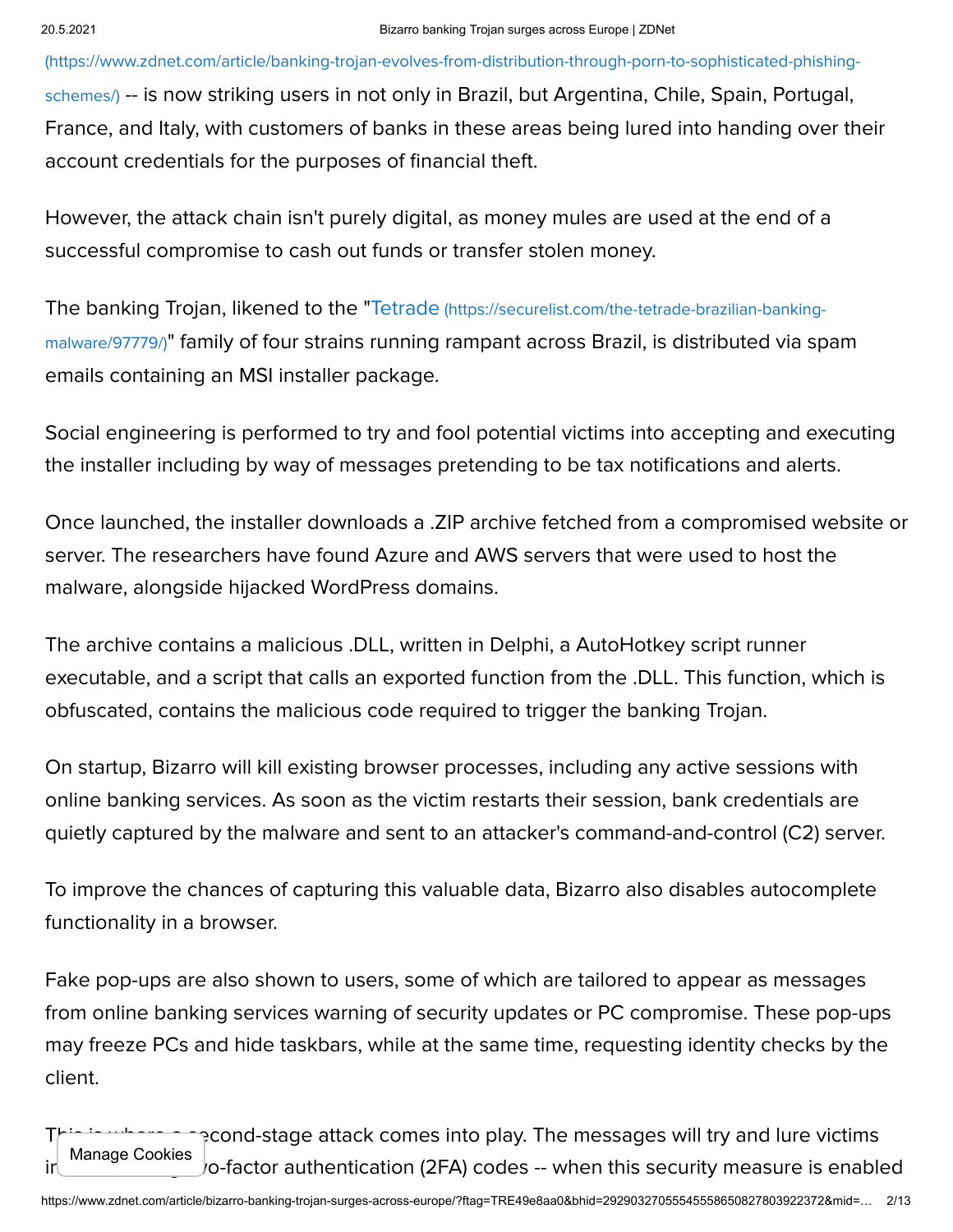(https://www.zdnet.com/article/banking-trojan-evolves-from-distribution-through-porn-to-sophisticated-phishingschemes/) [-- is now striking users in not only in Brazil, but Argentina, Chile, Spain, Portugal,](https://www.zdnet.com/article/banking-trojan-evolves-from-distribution-through-porn-to-sophisticated-phishing-schemes/) France, and Italy, with customers of banks in these areas being lured into handing over their account credentials for the purposes of financial theft.

However, the attack chain isn't purely digital, as money mules are used at the end of a successful compromise to cash out funds or transfer stolen money.

The banking Trojan, likened to the "Tetrade (https://securelist.com/the-tetrade-brazilian-bankingmalware/97779/)[" family of four strains running rampant across Brazil, is distributed via sp](https://securelist.com/the-tetrade-brazilian-banking-malware/97779/)am emails containing an MSI installer package.

Social engineering is performed to try and fool potential victims into accepting and executing the installer including by way of messages pretending to be tax notifications and alerts.

Once launched, the installer downloads a .ZIP archive fetched from a compromised website or server. The researchers have found Azure and AWS servers that were used to host the malware, alongside hijacked WordPress domains.

The archive contains a malicious .DLL, written in Delphi, a AutoHotkey script runner executable, and a script that calls an exported function from the .DLL. This function, which is obfuscated, contains the malicious code required to trigger the banking Trojan.

On startup, Bizarro will kill existing browser processes, including any active sessions with online banking services. As soon as the victim restarts their session, bank credentials are quietly captured by the malware and sent to an attacker's command-and-control (C2) server.

To improve the chances of capturing this valuable data, Bizarro also disables autocomplete functionality in a browser.

Fake pop-ups are also shown to users, some of which are tailored to appear as messages from online banking services warning of security updates or PC compromise. These pop-ups may freeze PCs and hide taskbars, while at the same time, requesting identity checks by the client.

This is where a second-stage attack comes into play. The messages will try and lure victims Manage Cookies<br>into submitting two-factor authentication (2FA) codes -- when this security measure is enabled Manage  $\sigma$